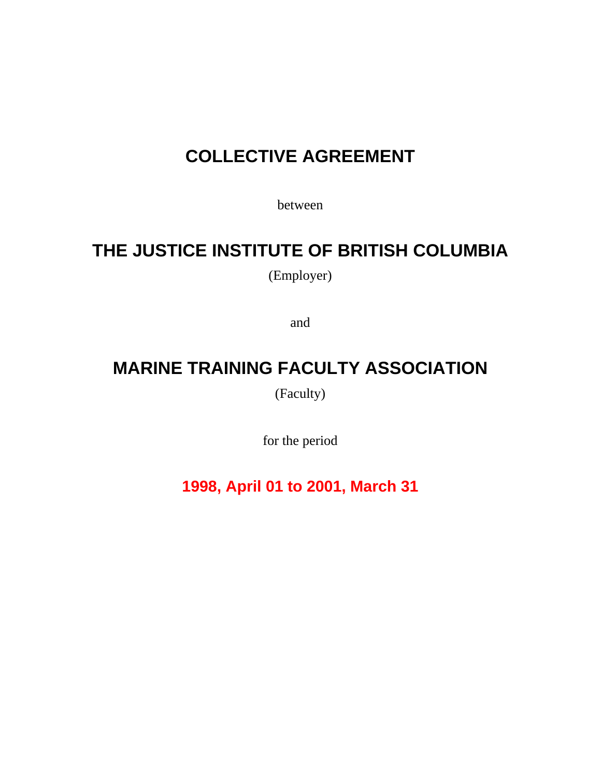# **COLLECTIVE AGREEMENT**

between

# **THE JUSTICE INSTITUTE OF BRITISH COLUMBIA**

(Employer)

and

# **MARINE TRAINING FACULTY ASSOCIATION**

(Faculty)

for the period

**1998, April 01 to 2001, March 31**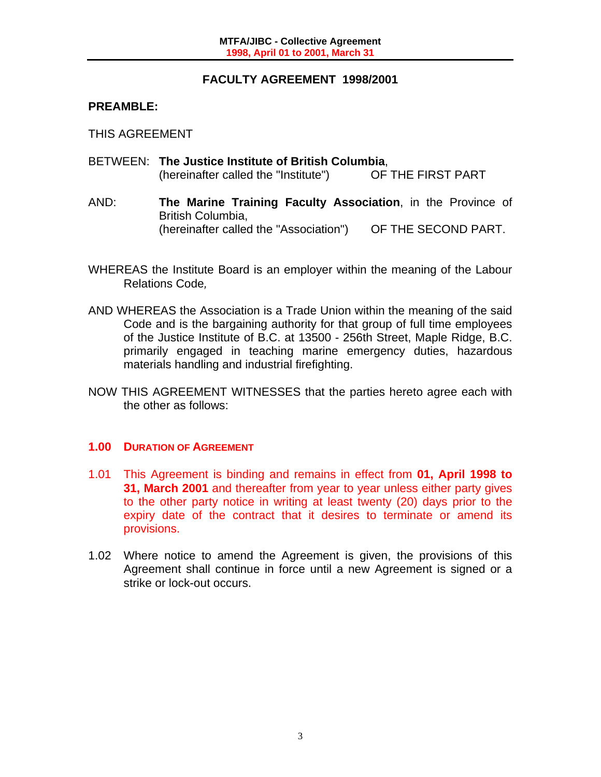# **FACULTY AGREEMENT 1998/2001**

# **PREAMBLE:**

THIS AGREEMENT

- BETWEEN: **The Justice Institute of British Columbia**, (hereinafter called the "Institute") OF THE FIRST PART
- AND: **The Marine Training Faculty Association**, in the Province of British Columbia, (hereinafter called the "Association") OF THE SECOND PART.
- WHEREAS the Institute Board is an employer within the meaning of the Labour Relations Code*,*
- AND WHEREAS the Association is a Trade Union within the meaning of the said Code and is the bargaining authority for that group of full time employees of the Justice Institute of B.C. at 13500 - 256th Street, Maple Ridge, B.C. primarily engaged in teaching marine emergency duties, hazardous materials handling and industrial firefighting.
- NOW THIS AGREEMENT WITNESSES that the parties hereto agree each with the other as follows:

# **1.00 DURATION OF AGREEMENT**

- 1.01 This Agreement is binding and remains in effect from **01, April 1998 to 31, March 2001** and thereafter from year to year unless either party gives to the other party notice in writing at least twenty (20) days prior to the expiry date of the contract that it desires to terminate or amend its provisions.
- 1.02 Where notice to amend the Agreement is given, the provisions of this Agreement shall continue in force until a new Agreement is signed or a strike or lock-out occurs.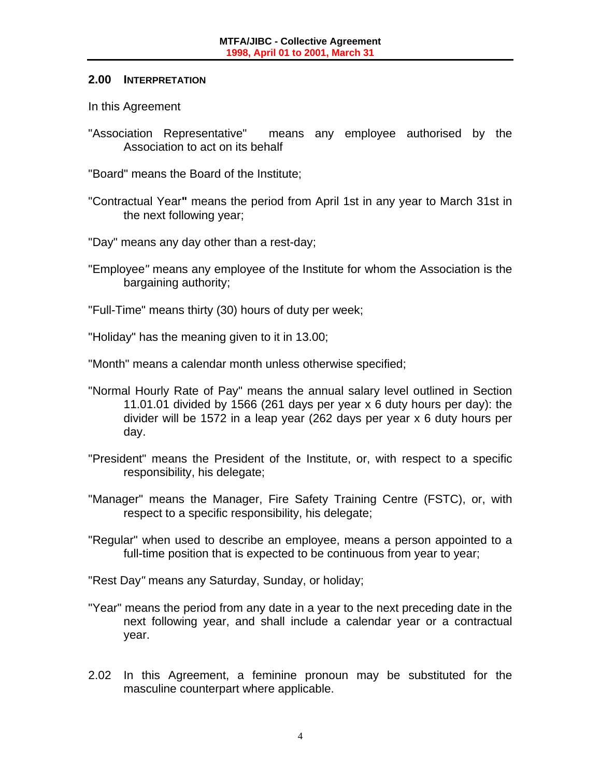#### **2.00 INTERPRETATION**

In this Agreement

"Association Representative" means any employee authorised by the Association to act on its behalf

"Board" means the Board of the Institute;

- "Contractual Year**"** means the period from April 1st in any year to March 31st in the next following year;
- "Day" means any day other than a rest-day;
- "Employee*"* means any employee of the Institute for whom the Association is the bargaining authority;
- "Full-Time" means thirty (30) hours of duty per week;
- "Holiday" has the meaning given to it in 13.00;
- "Month" means a calendar month unless otherwise specified;
- "Normal Hourly Rate of Pay" means the annual salary level outlined in Section 11.01.01 divided by 1566 (261 days per year x 6 duty hours per day): the divider will be 1572 in a leap year (262 days per year x 6 duty hours per day.
- "President" means the President of the Institute, or, with respect to a specific responsibility, his delegate;
- "Manager" means the Manager, Fire Safety Training Centre (FSTC), or, with respect to a specific responsibility, his delegate;
- "Regular" when used to describe an employee, means a person appointed to a full-time position that is expected to be continuous from year to year;
- "Rest Day*"* means any Saturday, Sunday, or holiday;
- "Year" means the period from any date in a year to the next preceding date in the next following year, and shall include a calendar year or a contractual year.
- 2.02 In this Agreement, a feminine pronoun may be substituted for the masculine counterpart where applicable.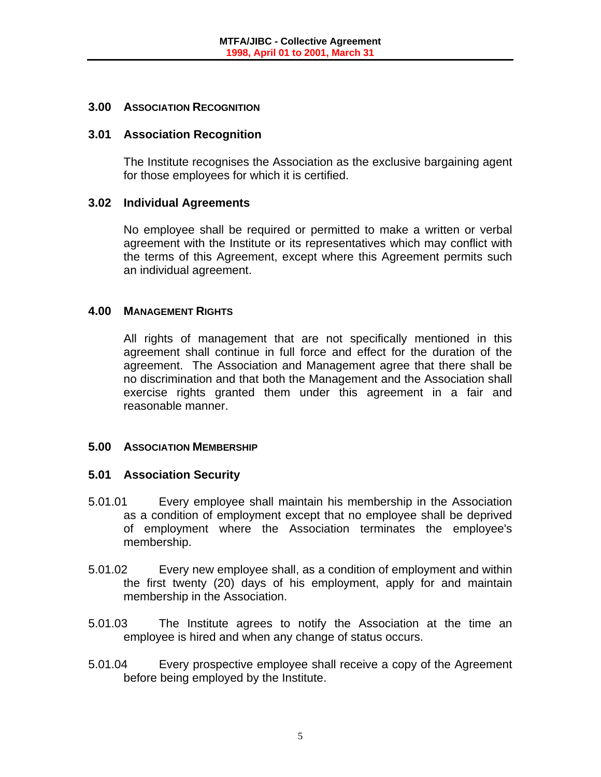#### **3.00 ASSOCIATION RECOGNITION**

#### **3.01 Association Recognition**

 The Institute recognises the Association as the exclusive bargaining agent for those employees for which it is certified.

#### **3.02 Individual Agreements**

 No employee shall be required or permitted to make a written or verbal agreement with the Institute or its representatives which may conflict with the terms of this Agreement, except where this Agreement permits such an individual agreement.

#### **4.00 MANAGEMENT RIGHTS**

 All rights of management that are not specifically mentioned in this agreement shall continue in full force and effect for the duration of the agreement. The Association and Management agree that there shall be no discrimination and that both the Management and the Association shall exercise rights granted them under this agreement in a fair and reasonable manner.

# **5.00 ASSOCIATION MEMBERSHIP**

# **5.01 Association Security**

- 5.01.01 Every employee shall maintain his membership in the Association as a condition of employment except that no employee shall be deprived of employment where the Association terminates the employee's membership.
- 5.01.02 Every new employee shall, as a condition of employment and within the first twenty (20) days of his employment, apply for and maintain membership in the Association.
- 5.01.03 The Institute agrees to notify the Association at the time an employee is hired and when any change of status occurs.
- 5.01.04 Every prospective employee shall receive a copy of the Agreement before being employed by the Institute.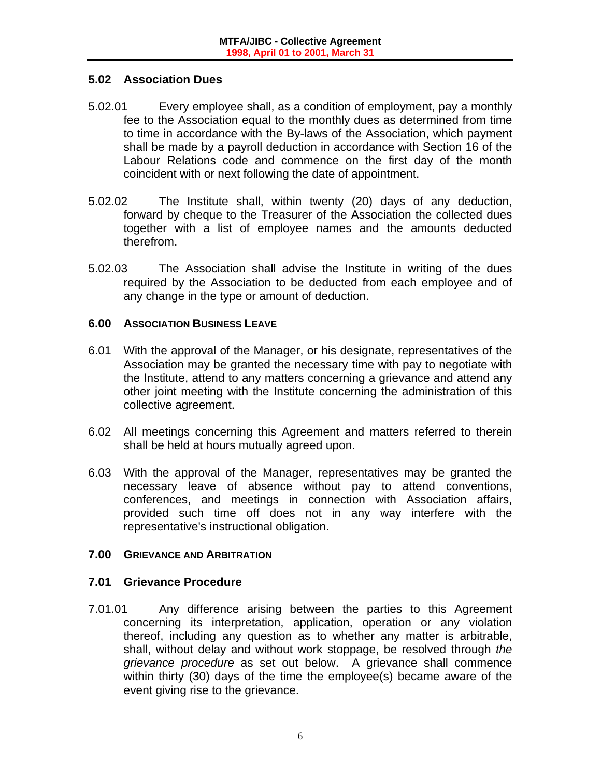# **5.02 Association Dues**

- 5.02.01 Every employee shall, as a condition of employment, pay a monthly fee to the Association equal to the monthly dues as determined from time to time in accordance with the By-laws of the Association, which payment shall be made by a payroll deduction in accordance with Section 16 of the Labour Relations code and commence on the first day of the month coincident with or next following the date of appointment.
- 5.02.02 The Institute shall, within twenty (20) days of any deduction, forward by cheque to the Treasurer of the Association the collected dues together with a list of employee names and the amounts deducted therefrom.
- 5.02.03 The Association shall advise the Institute in writing of the dues required by the Association to be deducted from each employee and of any change in the type or amount of deduction.

#### **6.00 ASSOCIATION BUSINESS LEAVE**

- 6.01 With the approval of the Manager, or his designate, representatives of the Association may be granted the necessary time with pay to negotiate with the Institute, attend to any matters concerning a grievance and attend any other joint meeting with the Institute concerning the administration of this collective agreement.
- 6.02 All meetings concerning this Agreement and matters referred to therein shall be held at hours mutually agreed upon.
- 6.03 With the approval of the Manager, representatives may be granted the necessary leave of absence without pay to attend conventions, conferences, and meetings in connection with Association affairs, provided such time off does not in any way interfere with the representative's instructional obligation.

#### **7.00 GRIEVANCE AND ARBITRATION**

#### **7.01 Grievance Procedure**

7.01.01 Any difference arising between the parties to this Agreement concerning its interpretation, application, operation or any violation thereof, including any question as to whether any matter is arbitrable, shall, without delay and without work stoppage, be resolved through *the grievance procedure* as set out below. A grievance shall commence within thirty (30) days of the time the employee(s) became aware of the event giving rise to the grievance.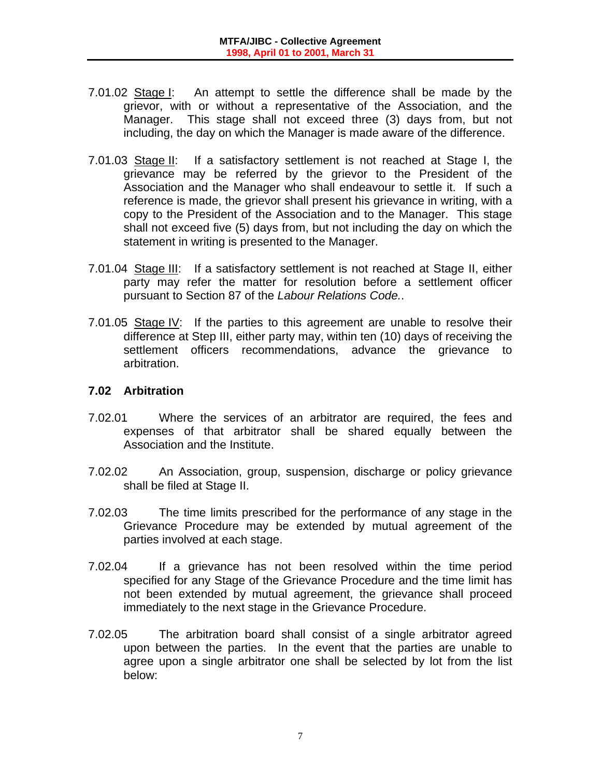- 7.01.02 Stage I: An attempt to settle the difference shall be made by the grievor, with or without a representative of the Association, and the Manager. This stage shall not exceed three (3) days from, but not including, the day on which the Manager is made aware of the difference.
- 7.01.03 Stage II: If a satisfactory settlement is not reached at Stage I, the grievance may be referred by the grievor to the President of the Association and the Manager who shall endeavour to settle it. If such a reference is made, the grievor shall present his grievance in writing, with a copy to the President of the Association and to the Manager. This stage shall not exceed five (5) days from, but not including the day on which the statement in writing is presented to the Manager.
- 7.01.04 Stage III: If a satisfactory settlement is not reached at Stage II, either party may refer the matter for resolution before a settlement officer pursuant to Section 87 of the *Labour Relations Code.*.
- 7.01.05 Stage IV: If the parties to this agreement are unable to resolve their difference at Step III, either party may, within ten (10) days of receiving the settlement officers recommendations, advance the grievance to arbitration.

### **7.02 Arbitration**

- 7.02.01 Where the services of an arbitrator are required, the fees and expenses of that arbitrator shall be shared equally between the Association and the Institute.
- 7.02.02 An Association, group, suspension, discharge or policy grievance shall be filed at Stage II.
- 7.02.03 The time limits prescribed for the performance of any stage in the Grievance Procedure may be extended by mutual agreement of the parties involved at each stage.
- 7.02.04 If a grievance has not been resolved within the time period specified for any Stage of the Grievance Procedure and the time limit has not been extended by mutual agreement, the grievance shall proceed immediately to the next stage in the Grievance Procedure.
- 7.02.05 The arbitration board shall consist of a single arbitrator agreed upon between the parties. In the event that the parties are unable to agree upon a single arbitrator one shall be selected by lot from the list below: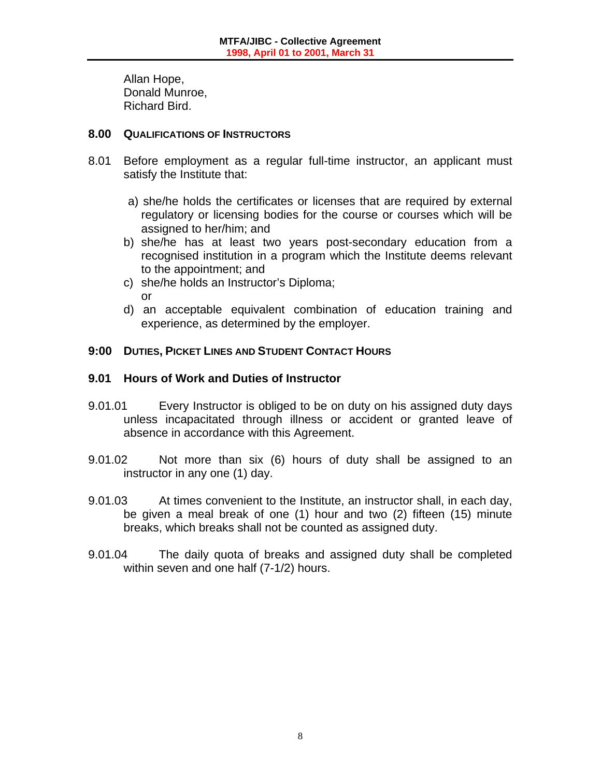Allan Hope, Donald Munroe, Richard Bird.

#### **8.00 QUALIFICATIONS OF INSTRUCTORS**

- 8.01 Before employment as a regular full-time instructor, an applicant must satisfy the Institute that:
	- a) she/he holds the certificates or licenses that are required by external regulatory or licensing bodies for the course or courses which will be assigned to her/him; and
	- b) she/he has at least two years post-secondary education from a recognised institution in a program which the Institute deems relevant to the appointment; and
	- c) she/he holds an Instructor's Diploma; or
	- d) an acceptable equivalent combination of education training and experience, as determined by the employer.

# **9:00 DUTIES, PICKET LINES AND STUDENT CONTACT HOURS**

# **9.01 Hours of Work and Duties of Instructor**

- 9.01.01 Every Instructor is obliged to be on duty on his assigned duty days unless incapacitated through illness or accident or granted leave of absence in accordance with this Agreement.
- 9.01.02 Not more than six (6) hours of duty shall be assigned to an instructor in any one (1) day.
- 9.01.03 At times convenient to the Institute, an instructor shall, in each day, be given a meal break of one (1) hour and two (2) fifteen (15) minute breaks, which breaks shall not be counted as assigned duty.
- 9.01.04 The daily quota of breaks and assigned duty shall be completed within seven and one half (7-1/2) hours.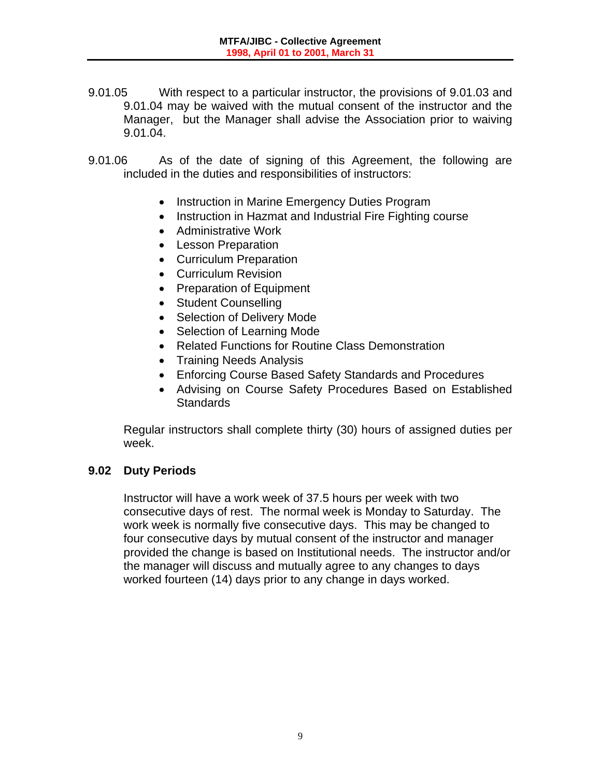- 9.01.05 With respect to a particular instructor, the provisions of 9.01.03 and 9.01.04 may be waived with the mutual consent of the instructor and the Manager, but the Manager shall advise the Association prior to waiving 9.01.04.
- 9.01.06 As of the date of signing of this Agreement, the following are included in the duties and responsibilities of instructors:
	- Instruction in Marine Emergency Duties Program
	- Instruction in Hazmat and Industrial Fire Fighting course
	- Administrative Work
	- Lesson Preparation
	- Curriculum Preparation
	- Curriculum Revision
	- Preparation of Equipment
	- Student Counselling
	- Selection of Delivery Mode
	- Selection of Learning Mode
	- Related Functions for Routine Class Demonstration
	- Training Needs Analysis
	- Enforcing Course Based Safety Standards and Procedures
	- Advising on Course Safety Procedures Based on Established **Standards**

 Regular instructors shall complete thirty (30) hours of assigned duties per week.

#### **9.02 Duty Periods**

Instructor will have a work week of 37.5 hours per week with two consecutive days of rest. The normal week is Monday to Saturday. The work week is normally five consecutive days. This may be changed to four consecutive days by mutual consent of the instructor and manager provided the change is based on Institutional needs. The instructor and/or the manager will discuss and mutually agree to any changes to days worked fourteen (14) days prior to any change in days worked.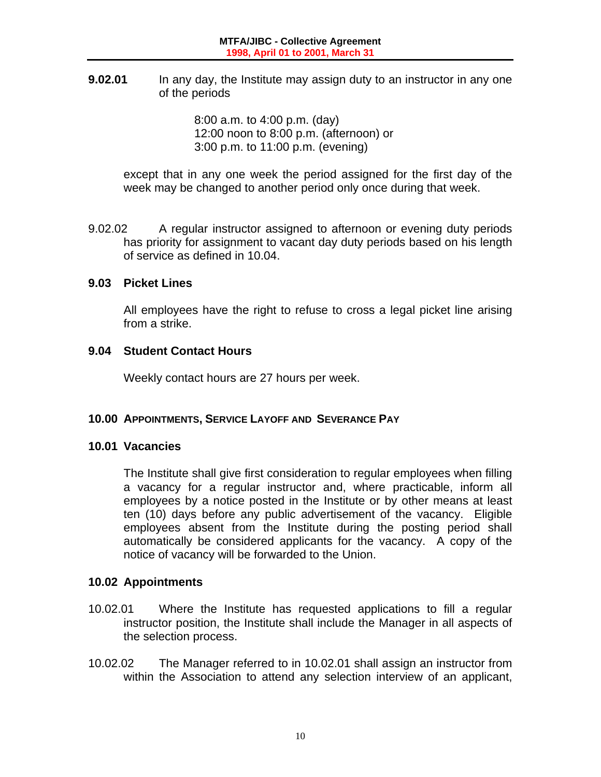**9.02.01** In any day, the Institute may assign duty to an instructor in any one of the periods

> 8:00 a.m. to 4:00 p.m. (day) 12:00 noon to 8:00 p.m. (afternoon) or 3:00 p.m. to 11:00 p.m. (evening)

except that in any one week the period assigned for the first day of the week may be changed to another period only once during that week.

9.02.02 A regular instructor assigned to afternoon or evening duty periods has priority for assignment to vacant day duty periods based on his length of service as defined in 10.04.

#### **9.03 Picket Lines**

 All employees have the right to refuse to cross a legal picket line arising from a strike.

#### **9.04 Student Contact Hours**

Weekly contact hours are 27 hours per week.

# **10.00 APPOINTMENTS, SERVICE LAYOFF AND SEVERANCE PAY**

#### **10.01 Vacancies**

 The Institute shall give first consideration to regular employees when filling a vacancy for a regular instructor and, where practicable, inform all employees by a notice posted in the Institute or by other means at least ten (10) days before any public advertisement of the vacancy. Eligible employees absent from the Institute during the posting period shall automatically be considered applicants for the vacancy. A copy of the notice of vacancy will be forwarded to the Union.

# **10.02 Appointments**

- 10.02.01 Where the Institute has requested applications to fill a regular instructor position, the Institute shall include the Manager in all aspects of the selection process.
- 10.02.02 The Manager referred to in 10.02.01 shall assign an instructor from within the Association to attend any selection interview of an applicant,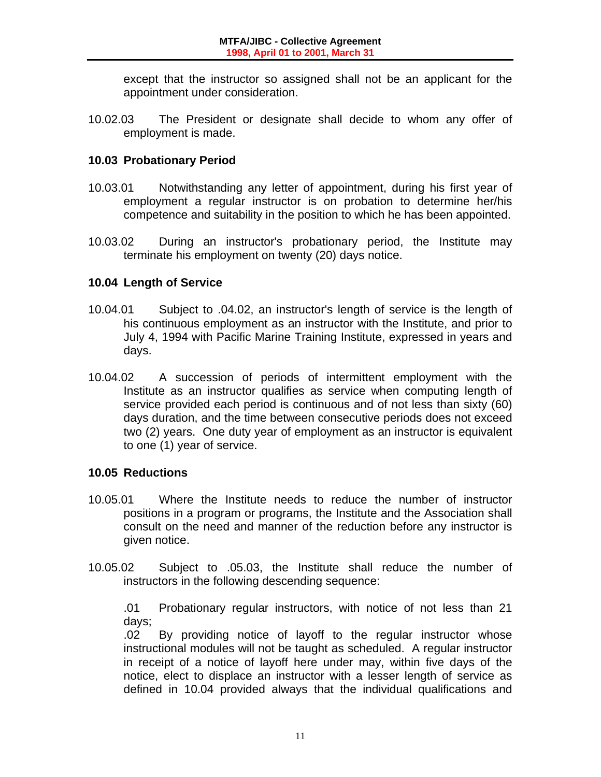except that the instructor so assigned shall not be an applicant for the appointment under consideration.

10.02.03 The President or designate shall decide to whom any offer of employment is made.

### **10.03 Probationary Period**

- 10.03.01 Notwithstanding any letter of appointment, during his first year of employment a regular instructor is on probation to determine her/his competence and suitability in the position to which he has been appointed.
- 10.03.02 During an instructor's probationary period, the Institute may terminate his employment on twenty (20) days notice.

# **10.04 Length of Service**

- 10.04.01 Subject to .04.02, an instructor's length of service is the length of his continuous employment as an instructor with the Institute, and prior to July 4, 1994 with Pacific Marine Training Institute, expressed in years and days.
- 10.04.02 A succession of periods of intermittent employment with the Institute as an instructor qualifies as service when computing length of service provided each period is continuous and of not less than sixty (60) days duration, and the time between consecutive periods does not exceed two (2) years. One duty year of employment as an instructor is equivalent to one (1) year of service.

#### **10.05 Reductions**

- 10.05.01 Where the Institute needs to reduce the number of instructor positions in a program or programs, the Institute and the Association shall consult on the need and manner of the reduction before any instructor is given notice.
- 10.05.02 Subject to .05.03, the Institute shall reduce the number of instructors in the following descending sequence:

 .01 Probationary regular instructors, with notice of not less than 21 days;

 .02 By providing notice of layoff to the regular instructor whose instructional modules will not be taught as scheduled. A regular instructor in receipt of a notice of layoff here under may, within five days of the notice, elect to displace an instructor with a lesser length of service as defined in 10.04 provided always that the individual qualifications and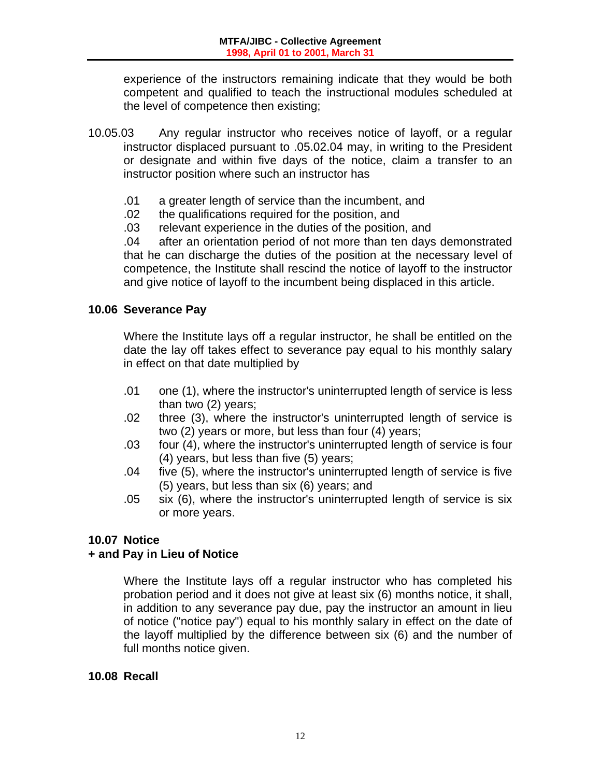experience of the instructors remaining indicate that they would be both competent and qualified to teach the instructional modules scheduled at the level of competence then existing;

- 10.05.03 Any regular instructor who receives notice of layoff, or a regular instructor displaced pursuant to .05.02.04 may, in writing to the President or designate and within five days of the notice, claim a transfer to an instructor position where such an instructor has
	- .01 a greater length of service than the incumbent, and
	- .02 the qualifications required for the position, and
	- .03 relevant experience in the duties of the position, and

 .04 after an orientation period of not more than ten days demonstrated that he can discharge the duties of the position at the necessary level of competence, the Institute shall rescind the notice of layoff to the instructor and give notice of layoff to the incumbent being displaced in this article.

# **10.06 Severance Pay**

 Where the Institute lays off a regular instructor, he shall be entitled on the date the lay off takes effect to severance pay equal to his monthly salary in effect on that date multiplied by

- .01 one (1), where the instructor's uninterrupted length of service is less than two (2) years;
- .02 three (3), where the instructor's uninterrupted length of service is two (2) years or more, but less than four (4) years;
- .03 four (4), where the instructor's uninterrupted length of service is four (4) years, but less than five (5) years;
- .04 five (5), where the instructor's uninterrupted length of service is five (5) years, but less than six (6) years; and
- .05 six (6), where the instructor's uninterrupted length of service is six or more years.

# **10.07 Notice**

# **+ and Pay in Lieu of Notice**

 Where the Institute lays off a regular instructor who has completed his probation period and it does not give at least six (6) months notice, it shall, in addition to any severance pay due, pay the instructor an amount in lieu of notice ("notice pay") equal to his monthly salary in effect on the date of the layoff multiplied by the difference between six (6) and the number of full months notice given.

# **10.08 Recall**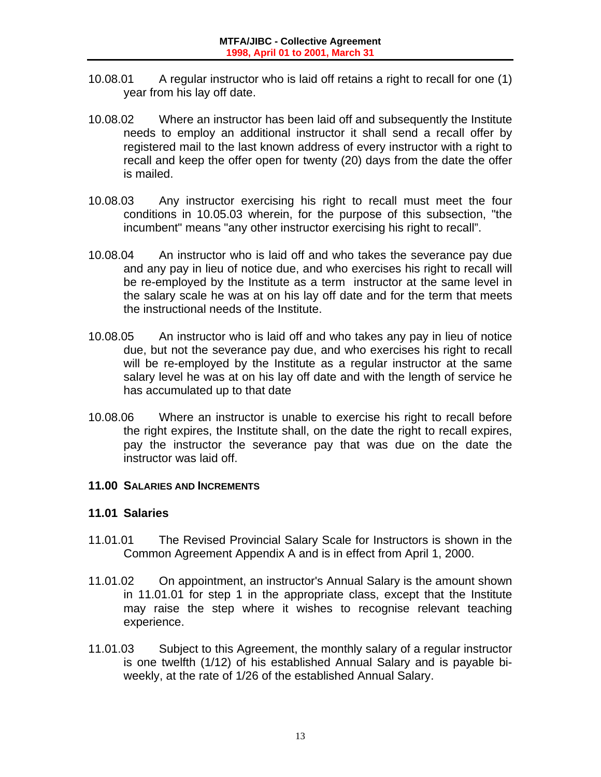- 10.08.01 A regular instructor who is laid off retains a right to recall for one (1) year from his lay off date.
- 10.08.02 Where an instructor has been laid off and subsequently the Institute needs to employ an additional instructor it shall send a recall offer by registered mail to the last known address of every instructor with a right to recall and keep the offer open for twenty (20) days from the date the offer is mailed.
- 10.08.03 Any instructor exercising his right to recall must meet the four conditions in 10.05.03 wherein, for the purpose of this subsection, "the incumbent" means "any other instructor exercising his right to recall".
- 10.08.04 An instructor who is laid off and who takes the severance pay due and any pay in lieu of notice due, and who exercises his right to recall will be re-employed by the Institute as a term instructor at the same level in the salary scale he was at on his lay off date and for the term that meets the instructional needs of the Institute.
- 10.08.05 An instructor who is laid off and who takes any pay in lieu of notice due, but not the severance pay due, and who exercises his right to recall will be re-employed by the Institute as a regular instructor at the same salary level he was at on his lay off date and with the length of service he has accumulated up to that date
- 10.08.06 Where an instructor is unable to exercise his right to recall before the right expires, the Institute shall, on the date the right to recall expires, pay the instructor the severance pay that was due on the date the instructor was laid off.

#### **11.00 SALARIES AND INCREMENTS**

#### **11.01 Salaries**

- 11.01.01 The Revised Provincial Salary Scale for Instructors is shown in the Common Agreement Appendix A and is in effect from April 1, 2000.
- 11.01.02 On appointment, an instructor's Annual Salary is the amount shown in 11.01.01 for step 1 in the appropriate class, except that the Institute may raise the step where it wishes to recognise relevant teaching experience.
- 11.01.03 Subject to this Agreement, the monthly salary of a regular instructor is one twelfth (1/12) of his established Annual Salary and is payable biweekly, at the rate of 1/26 of the established Annual Salary.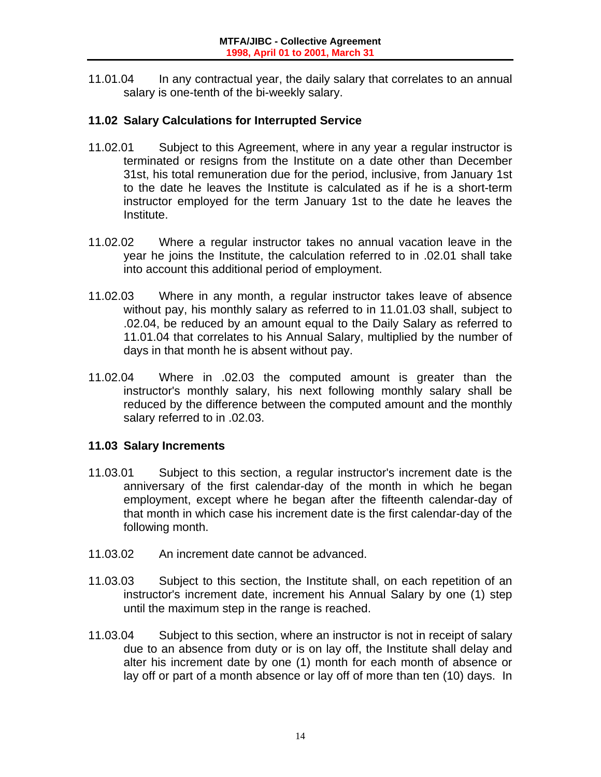11.01.04 In any contractual year, the daily salary that correlates to an annual salary is one-tenth of the bi-weekly salary.

# **11.02 Salary Calculations for Interrupted Service**

- 11.02.01 Subject to this Agreement, where in any year a regular instructor is terminated or resigns from the Institute on a date other than December 31st, his total remuneration due for the period, inclusive, from January 1st to the date he leaves the Institute is calculated as if he is a short-term instructor employed for the term January 1st to the date he leaves the Institute.
- 11.02.02 Where a regular instructor takes no annual vacation leave in the year he joins the Institute, the calculation referred to in .02.01 shall take into account this additional period of employment.
- 11.02.03 Where in any month, a regular instructor takes leave of absence without pay, his monthly salary as referred to in 11.01.03 shall, subject to .02.04, be reduced by an amount equal to the Daily Salary as referred to 11.01.04 that correlates to his Annual Salary, multiplied by the number of days in that month he is absent without pay.
- 11.02.04 Where in .02.03 the computed amount is greater than the instructor's monthly salary, his next following monthly salary shall be reduced by the difference between the computed amount and the monthly salary referred to in .02.03.

# **11.03 Salary Increments**

- 11.03.01 Subject to this section, a regular instructor's increment date is the anniversary of the first calendar-day of the month in which he began employment, except where he began after the fifteenth calendar-day of that month in which case his increment date is the first calendar-day of the following month.
- 11.03.02 An increment date cannot be advanced.
- 11.03.03 Subject to this section, the Institute shall, on each repetition of an instructor's increment date, increment his Annual Salary by one (1) step until the maximum step in the range is reached.
- 11.03.04 Subject to this section, where an instructor is not in receipt of salary due to an absence from duty or is on lay off, the Institute shall delay and alter his increment date by one (1) month for each month of absence or lay off or part of a month absence or lay off of more than ten (10) days. In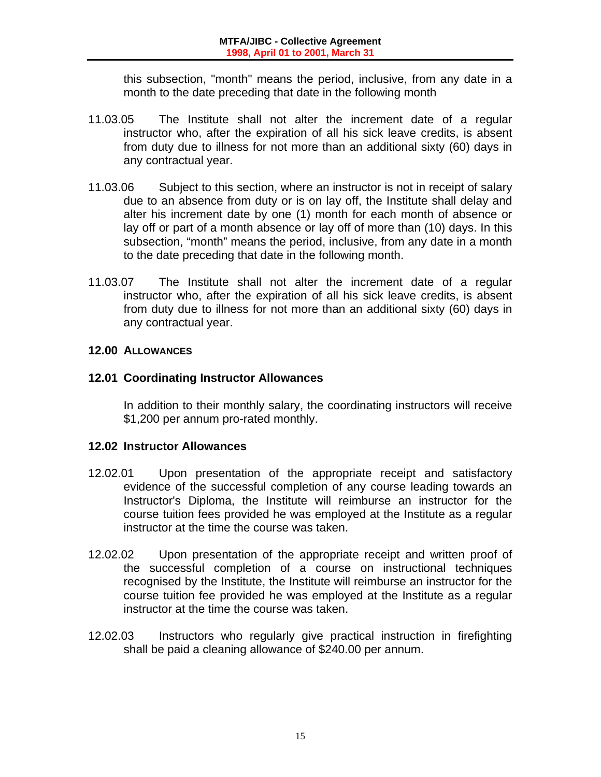this subsection, "month" means the period, inclusive, from any date in a month to the date preceding that date in the following month

- 11.03.05 The Institute shall not alter the increment date of a regular instructor who, after the expiration of all his sick leave credits, is absent from duty due to illness for not more than an additional sixty (60) days in any contractual year.
- 11.03.06 Subject to this section, where an instructor is not in receipt of salary due to an absence from duty or is on lay off, the Institute shall delay and alter his increment date by one (1) month for each month of absence or lay off or part of a month absence or lay off of more than (10) days. In this subsection, "month" means the period, inclusive, from any date in a month to the date preceding that date in the following month.
- 11.03.07 The Institute shall not alter the increment date of a regular instructor who, after the expiration of all his sick leave credits, is absent from duty due to illness for not more than an additional sixty (60) days in any contractual year.

# **12.00 ALLOWANCES**

# **12.01 Coordinating Instructor Allowances**

 In addition to their monthly salary, the coordinating instructors will receive \$1,200 per annum pro-rated monthly.

# **12.02 Instructor Allowances**

- 12.02.01 Upon presentation of the appropriate receipt and satisfactory evidence of the successful completion of any course leading towards an Instructor's Diploma, the Institute will reimburse an instructor for the course tuition fees provided he was employed at the Institute as a regular instructor at the time the course was taken.
- 12.02.02 Upon presentation of the appropriate receipt and written proof of the successful completion of a course on instructional techniques recognised by the Institute, the Institute will reimburse an instructor for the course tuition fee provided he was employed at the Institute as a regular instructor at the time the course was taken.
- 12.02.03 Instructors who regularly give practical instruction in firefighting shall be paid a cleaning allowance of \$240.00 per annum.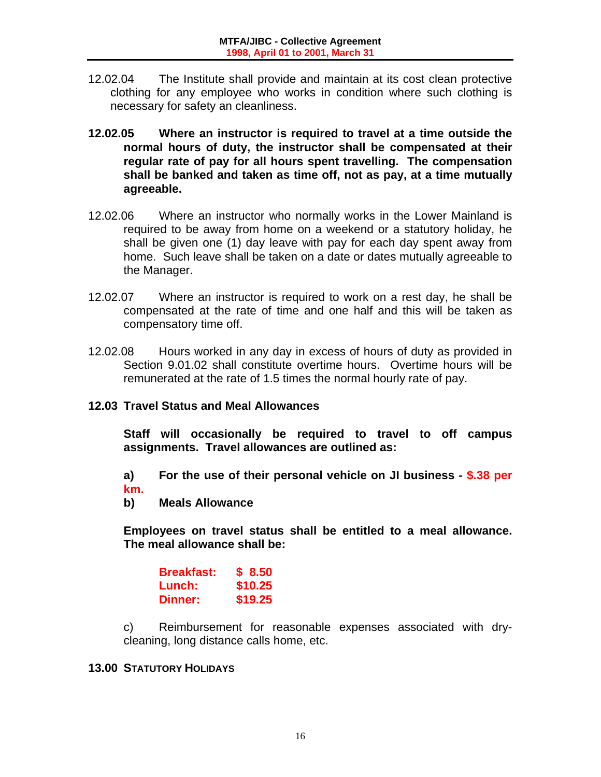- 12.02.04 The Institute shall provide and maintain at its cost clean protective clothing for any employee who works in condition where such clothing is necessary for safety an cleanliness.
- **12.02.05 Where an instructor is required to travel at a time outside the normal hours of duty, the instructor shall be compensated at their regular rate of pay for all hours spent travelling. The compensation shall be banked and taken as time off, not as pay, at a time mutually agreeable.**
- 12.02.06 Where an instructor who normally works in the Lower Mainland is required to be away from home on a weekend or a statutory holiday, he shall be given one (1) day leave with pay for each day spent away from home. Such leave shall be taken on a date or dates mutually agreeable to the Manager.
- 12.02.07 Where an instructor is required to work on a rest day, he shall be compensated at the rate of time and one half and this will be taken as compensatory time off.
- 12.02.08 Hours worked in any day in excess of hours of duty as provided in Section 9.01.02 shall constitute overtime hours. Overtime hours will be remunerated at the rate of 1.5 times the normal hourly rate of pay.

# **12.03 Travel Status and Meal Allowances**

 **Staff will occasionally be required to travel to off campus assignments. Travel allowances are outlined as:** 

 **a) For the use of their personal vehicle on JI business - \$.38 per km.** 

 **b) Meals Allowance** 

 **Employees on travel status shall be entitled to a meal allowance. The meal allowance shall be:** 

| <b>Breakfast:</b> | \$8.50  |
|-------------------|---------|
| Lunch:            | \$10.25 |
| <b>Dinner:</b>    | \$19.25 |

 c) Reimbursement for reasonable expenses associated with drycleaning, long distance calls home, etc.

### **13.00 STATUTORY HOLIDAYS**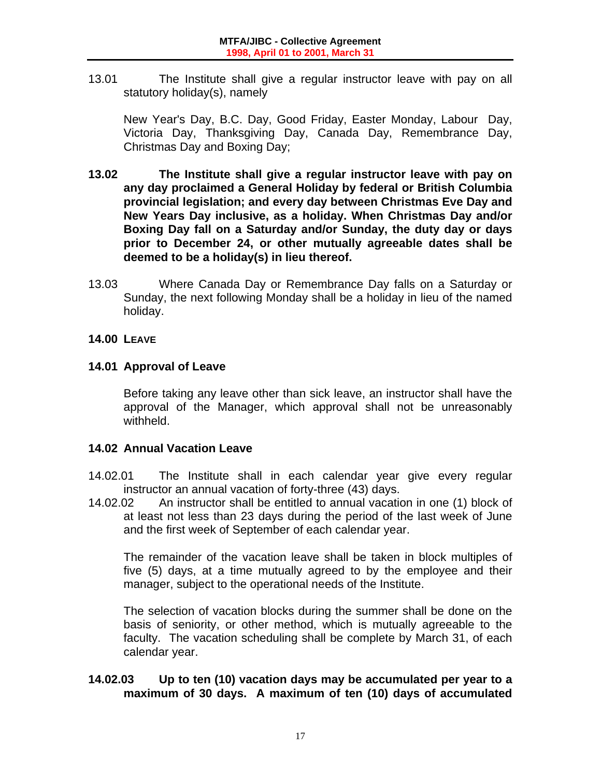13.01 The Institute shall give a regular instructor leave with pay on all statutory holiday(s), namely

 New Year's Day, B.C. Day, Good Friday, Easter Monday, Labour Day, Victoria Day, Thanksgiving Day, Canada Day, Remembrance Day, Christmas Day and Boxing Day;

- **13.02 The Institute shall give a regular instructor leave with pay on any day proclaimed a General Holiday by federal or British Columbia provincial legislation; and every day between Christmas Eve Day and New Years Day inclusive, as a holiday. When Christmas Day and/or Boxing Day fall on a Saturday and/or Sunday, the duty day or days prior to December 24, or other mutually agreeable dates shall be deemed to be a holiday(s) in lieu thereof.**
- 13.03 Where Canada Day or Remembrance Day falls on a Saturday or Sunday, the next following Monday shall be a holiday in lieu of the named holiday.

# **14.00 LEAVE**

# **14.01 Approval of Leave**

 Before taking any leave other than sick leave, an instructor shall have the approval of the Manager, which approval shall not be unreasonably withheld.

# **14.02 Annual Vacation Leave**

- 14.02.01 The Institute shall in each calendar year give every regular instructor an annual vacation of forty-three (43) days.
- 14.02.02 An instructor shall be entitled to annual vacation in one (1) block of at least not less than 23 days during the period of the last week of June and the first week of September of each calendar year.

 The remainder of the vacation leave shall be taken in block multiples of five (5) days, at a time mutually agreed to by the employee and their manager, subject to the operational needs of the Institute.

 The selection of vacation blocks during the summer shall be done on the basis of seniority, or other method, which is mutually agreeable to the faculty. The vacation scheduling shall be complete by March 31, of each calendar year.

# **14.02.03 Up to ten (10) vacation days may be accumulated per year to a maximum of 30 days. A maximum of ten (10) days of accumulated**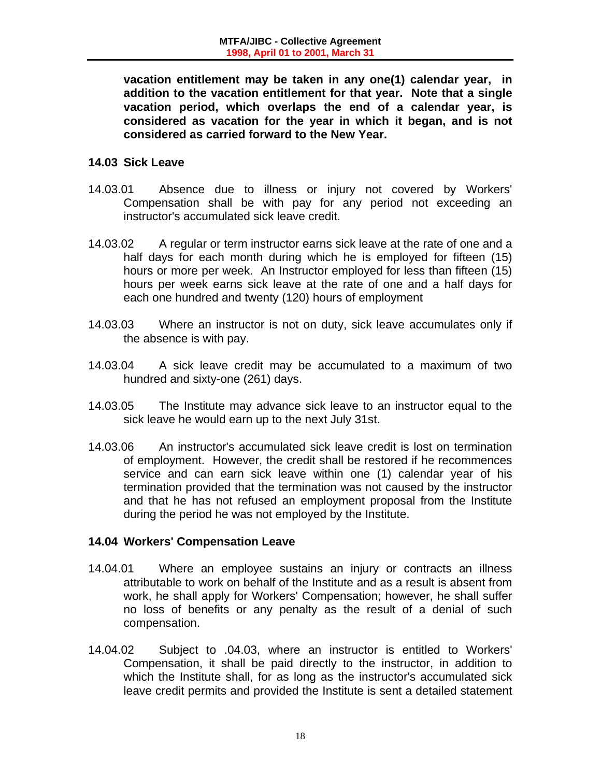**vacation entitlement may be taken in any one(1) calendar year, in addition to the vacation entitlement for that year. Note that a single vacation period, which overlaps the end of a calendar year, is considered as vacation for the year in which it began, and is not considered as carried forward to the New Year.** 

# **14.03 Sick Leave**

- 14.03.01 Absence due to illness or injury not covered by Workers' Compensation shall be with pay for any period not exceeding an instructor's accumulated sick leave credit.
- 14.03.02 A regular or term instructor earns sick leave at the rate of one and a half days for each month during which he is employed for fifteen (15) hours or more per week. An Instructor employed for less than fifteen (15) hours per week earns sick leave at the rate of one and a half days for each one hundred and twenty (120) hours of employment
- 14.03.03 Where an instructor is not on duty, sick leave accumulates only if the absence is with pay.
- 14.03.04 A sick leave credit may be accumulated to a maximum of two hundred and sixty-one (261) days.
- 14.03.05 The Institute may advance sick leave to an instructor equal to the sick leave he would earn up to the next July 31st.
- 14.03.06 An instructor's accumulated sick leave credit is lost on termination of employment. However, the credit shall be restored if he recommences service and can earn sick leave within one (1) calendar year of his termination provided that the termination was not caused by the instructor and that he has not refused an employment proposal from the Institute during the period he was not employed by the Institute.

# **14.04 Workers' Compensation Leave**

- 14.04.01 Where an employee sustains an injury or contracts an illness attributable to work on behalf of the Institute and as a result is absent from work, he shall apply for Workers' Compensation; however, he shall suffer no loss of benefits or any penalty as the result of a denial of such compensation.
- 14.04.02 Subject to .04.03, where an instructor is entitled to Workers' Compensation, it shall be paid directly to the instructor, in addition to which the Institute shall, for as long as the instructor's accumulated sick leave credit permits and provided the Institute is sent a detailed statement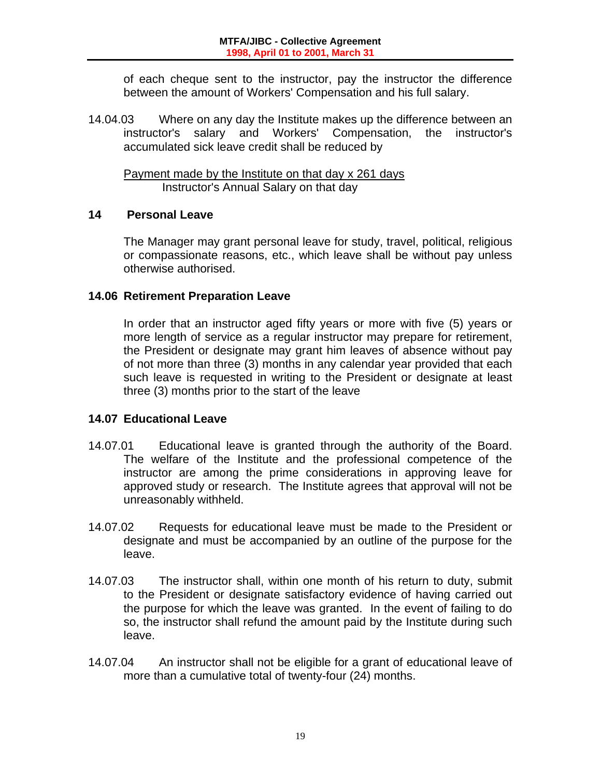of each cheque sent to the instructor, pay the instructor the difference between the amount of Workers' Compensation and his full salary.

14.04.03 Where on any day the Institute makes up the difference between an instructor's salary and Workers' Compensation, the instructor's accumulated sick leave credit shall be reduced by

 Payment made by the Institute on that day x 261 days Instructor's Annual Salary on that day

#### **14 Personal Leave**

 The Manager may grant personal leave for study, travel, political, religious or compassionate reasons, etc., which leave shall be without pay unless otherwise authorised.

#### **14.06 Retirement Preparation Leave**

 In order that an instructor aged fifty years or more with five (5) years or more length of service as a regular instructor may prepare for retirement, the President or designate may grant him leaves of absence without pay of not more than three (3) months in any calendar year provided that each such leave is requested in writing to the President or designate at least three (3) months prior to the start of the leave

# **14.07 Educational Leave**

- 14.07.01 Educational leave is granted through the authority of the Board. The welfare of the Institute and the professional competence of the instructor are among the prime considerations in approving leave for approved study or research. The Institute agrees that approval will not be unreasonably withheld.
- 14.07.02 Requests for educational leave must be made to the President or designate and must be accompanied by an outline of the purpose for the leave.
- 14.07.03 The instructor shall, within one month of his return to duty, submit to the President or designate satisfactory evidence of having carried out the purpose for which the leave was granted. In the event of failing to do so, the instructor shall refund the amount paid by the Institute during such leave.
- 14.07.04 An instructor shall not be eligible for a grant of educational leave of more than a cumulative total of twenty-four (24) months.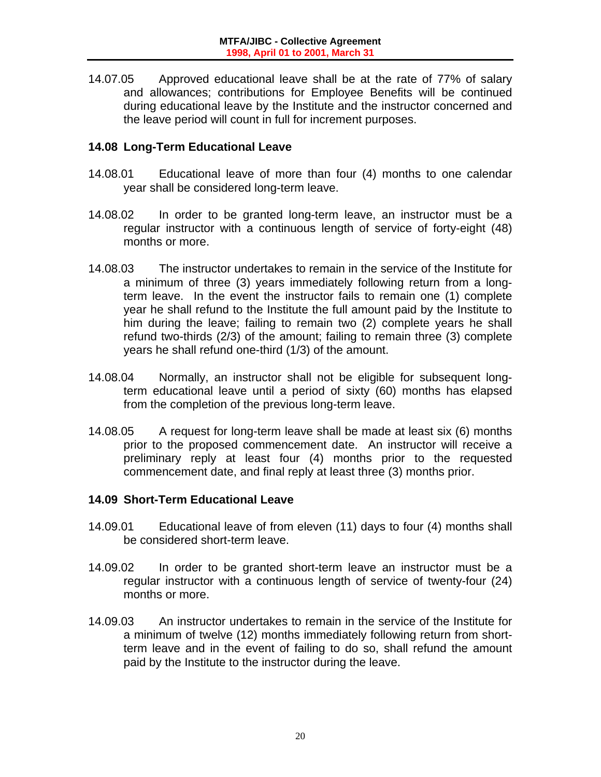14.07.05 Approved educational leave shall be at the rate of 77% of salary and allowances; contributions for Employee Benefits will be continued during educational leave by the Institute and the instructor concerned and the leave period will count in full for increment purposes.

#### **14.08 Long-Term Educational Leave**

- 14.08.01 Educational leave of more than four (4) months to one calendar year shall be considered long-term leave.
- 14.08.02 In order to be granted long-term leave, an instructor must be a regular instructor with a continuous length of service of forty-eight (48) months or more.
- 14.08.03 The instructor undertakes to remain in the service of the Institute for a minimum of three (3) years immediately following return from a longterm leave. In the event the instructor fails to remain one (1) complete year he shall refund to the Institute the full amount paid by the Institute to him during the leave; failing to remain two (2) complete years he shall refund two-thirds (2/3) of the amount; failing to remain three (3) complete years he shall refund one-third (1/3) of the amount.
- 14.08.04 Normally, an instructor shall not be eligible for subsequent longterm educational leave until a period of sixty (60) months has elapsed from the completion of the previous long-term leave.
- 14.08.05 A request for long-term leave shall be made at least six (6) months prior to the proposed commencement date. An instructor will receive a preliminary reply at least four (4) months prior to the requested commencement date, and final reply at least three (3) months prior.

# **14.09 Short-Term Educational Leave**

- 14.09.01 Educational leave of from eleven (11) days to four (4) months shall be considered short-term leave.
- 14.09.02 In order to be granted short-term leave an instructor must be a regular instructor with a continuous length of service of twenty-four (24) months or more.
- 14.09.03 An instructor undertakes to remain in the service of the Institute for a minimum of twelve (12) months immediately following return from shortterm leave and in the event of failing to do so, shall refund the amount paid by the Institute to the instructor during the leave.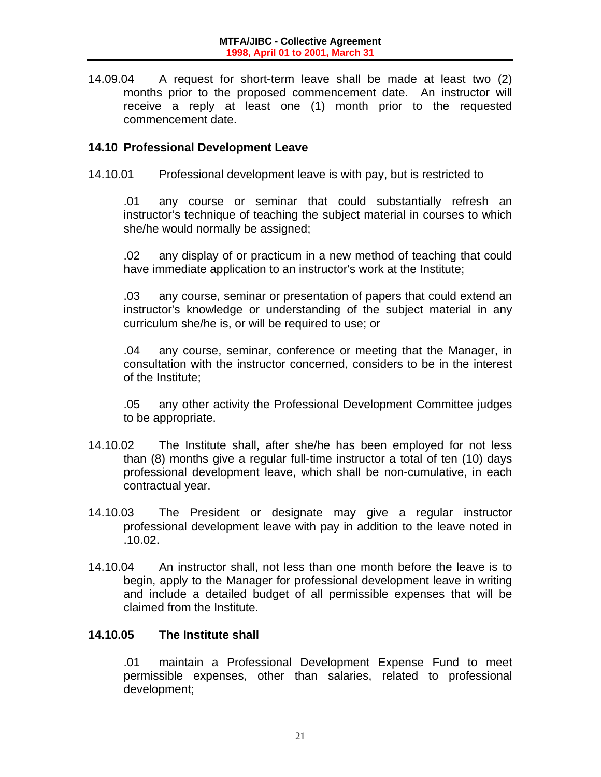14.09.04 A request for short-term leave shall be made at least two (2) months prior to the proposed commencement date. An instructor will receive a reply at least one (1) month prior to the requested commencement date.

### **14.10 Professional Development Leave**

14.10.01 Professional development leave is with pay, but is restricted to

 .01 any course or seminar that could substantially refresh an instructor's technique of teaching the subject material in courses to which she/he would normally be assigned;

 .02 any display of or practicum in a new method of teaching that could have immediate application to an instructor's work at the Institute;

 .03 any course, seminar or presentation of papers that could extend an instructor's knowledge or understanding of the subject material in any curriculum she/he is, or will be required to use; or

 .04 any course, seminar, conference or meeting that the Manager, in consultation with the instructor concerned, considers to be in the interest of the Institute;

 .05 any other activity the Professional Development Committee judges to be appropriate.

- 14.10.02 The Institute shall, after she/he has been employed for not less than (8) months give a regular full-time instructor a total of ten (10) days professional development leave, which shall be non-cumulative, in each contractual year.
- 14.10.03 The President or designate may give a regular instructor professional development leave with pay in addition to the leave noted in .10.02.
- 14.10.04 An instructor shall, not less than one month before the leave is to begin, apply to the Manager for professional development leave in writing and include a detailed budget of all permissible expenses that will be claimed from the Institute.

# **14.10.05 The Institute shall**

 .01 maintain a Professional Development Expense Fund to meet permissible expenses, other than salaries, related to professional development;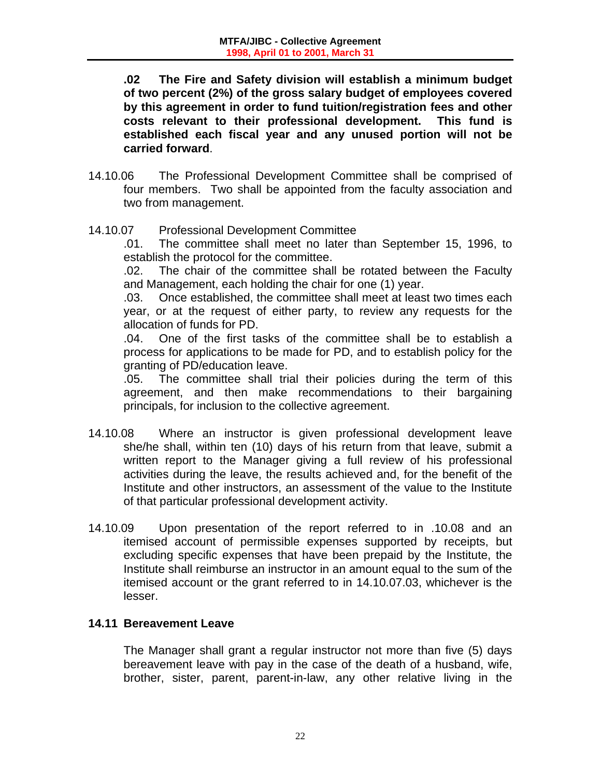**.02 The Fire and Safety division will establish a minimum budget of two percent (2%) of the gross salary budget of employees covered by this agreement in order to fund tuition/registration fees and other costs relevant to their professional development. This fund is established each fiscal year and any unused portion will not be carried forward**.

- 14.10.06 The Professional Development Committee shall be comprised of four members. Two shall be appointed from the faculty association and two from management.
- 14.10.07 Professional Development Committee

 .01. The committee shall meet no later than September 15, 1996, to establish the protocol for the committee.

 .02. The chair of the committee shall be rotated between the Faculty and Management, each holding the chair for one (1) year.

 .03. Once established, the committee shall meet at least two times each year, or at the request of either party, to review any requests for the allocation of funds for PD.

 .04. One of the first tasks of the committee shall be to establish a process for applications to be made for PD, and to establish policy for the granting of PD/education leave.

 .05. The committee shall trial their policies during the term of this agreement, and then make recommendations to their bargaining principals, for inclusion to the collective agreement.

- 14.10.08 Where an instructor is given professional development leave she/he shall, within ten (10) days of his return from that leave, submit a written report to the Manager giving a full review of his professional activities during the leave, the results achieved and, for the benefit of the Institute and other instructors, an assessment of the value to the Institute of that particular professional development activity.
- 14.10.09 Upon presentation of the report referred to in .10.08 and an itemised account of permissible expenses supported by receipts, but excluding specific expenses that have been prepaid by the Institute, the Institute shall reimburse an instructor in an amount equal to the sum of the itemised account or the grant referred to in 14.10.07.03, whichever is the lesser.

# **14.11 Bereavement Leave**

 The Manager shall grant a regular instructor not more than five (5) days bereavement leave with pay in the case of the death of a husband, wife, brother, sister, parent, parent-in-law, any other relative living in the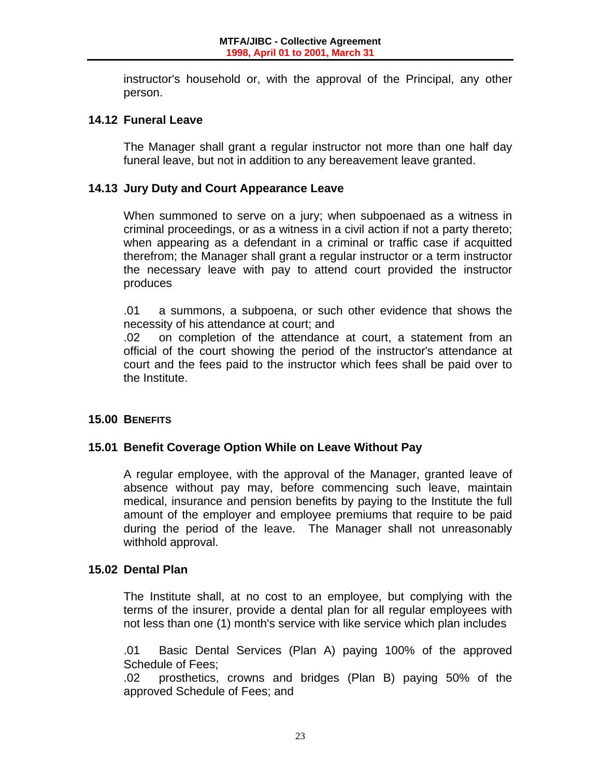instructor's household or, with the approval of the Principal, any other person.

### **14.12 Funeral Leave**

 The Manager shall grant a regular instructor not more than one half day funeral leave, but not in addition to any bereavement leave granted.

### **14.13 Jury Duty and Court Appearance Leave**

 When summoned to serve on a jury; when subpoenaed as a witness in criminal proceedings, or as a witness in a civil action if not a party thereto; when appearing as a defendant in a criminal or traffic case if acquitted therefrom; the Manager shall grant a regular instructor or a term instructor the necessary leave with pay to attend court provided the instructor produces

 .01 a summons, a subpoena, or such other evidence that shows the necessity of his attendance at court; and

 .02 on completion of the attendance at court, a statement from an official of the court showing the period of the instructor's attendance at court and the fees paid to the instructor which fees shall be paid over to the Institute.

#### **15.00 BENEFITS**

# **15.01 Benefit Coverage Option While on Leave Without Pay**

 A regular employee, with the approval of the Manager, granted leave of absence without pay may, before commencing such leave, maintain medical, insurance and pension benefits by paying to the Institute the full amount of the employer and employee premiums that require to be paid during the period of the leave. The Manager shall not unreasonably withhold approval.

#### **15.02 Dental Plan**

 The Institute shall, at no cost to an employee, but complying with the terms of the insurer, provide a dental plan for all regular employees with not less than one (1) month's service with like service which plan includes

 .01 Basic Dental Services (Plan A) paying 100% of the approved Schedule of Fees;

 .02 prosthetics, crowns and bridges (Plan B) paying 50% of the approved Schedule of Fees; and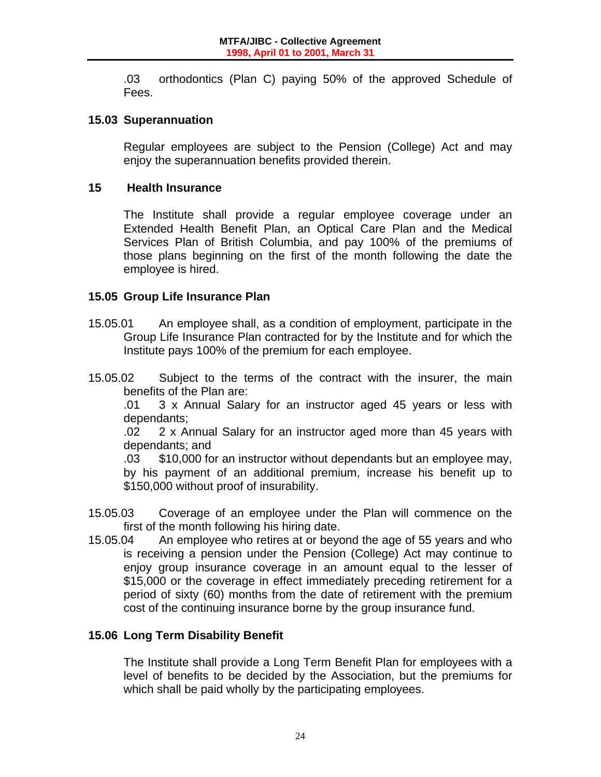.03 orthodontics (Plan C) paying 50% of the approved Schedule of Fees.

### **15.03 Superannuation**

 Regular employees are subject to the Pension (College) Act and may enjoy the superannuation benefits provided therein.

#### **15 Health Insurance**

 The Institute shall provide a regular employee coverage under an Extended Health Benefit Plan, an Optical Care Plan and the Medical Services Plan of British Columbia, and pay 100% of the premiums of those plans beginning on the first of the month following the date the employee is hired.

# **15.05 Group Life Insurance Plan**

- 15.05.01 An employee shall, as a condition of employment, participate in the Group Life Insurance Plan contracted for by the Institute and for which the Institute pays 100% of the premium for each employee.
- 15.05.02 Subject to the terms of the contract with the insurer, the main benefits of the Plan are:

 .01 3 x Annual Salary for an instructor aged 45 years or less with dependants;

 .02 2 x Annual Salary for an instructor aged more than 45 years with dependants; and

 .03 \$10,000 for an instructor without dependants but an employee may, by his payment of an additional premium, increase his benefit up to \$150,000 without proof of insurability.

- 15.05.03 Coverage of an employee under the Plan will commence on the first of the month following his hiring date.
- 15.05.04 An employee who retires at or beyond the age of 55 years and who is receiving a pension under the Pension (College) Act may continue to enjoy group insurance coverage in an amount equal to the lesser of \$15,000 or the coverage in effect immediately preceding retirement for a period of sixty (60) months from the date of retirement with the premium cost of the continuing insurance borne by the group insurance fund.

# **15.06 Long Term Disability Benefit**

 The Institute shall provide a Long Term Benefit Plan for employees with a level of benefits to be decided by the Association, but the premiums for which shall be paid wholly by the participating employees.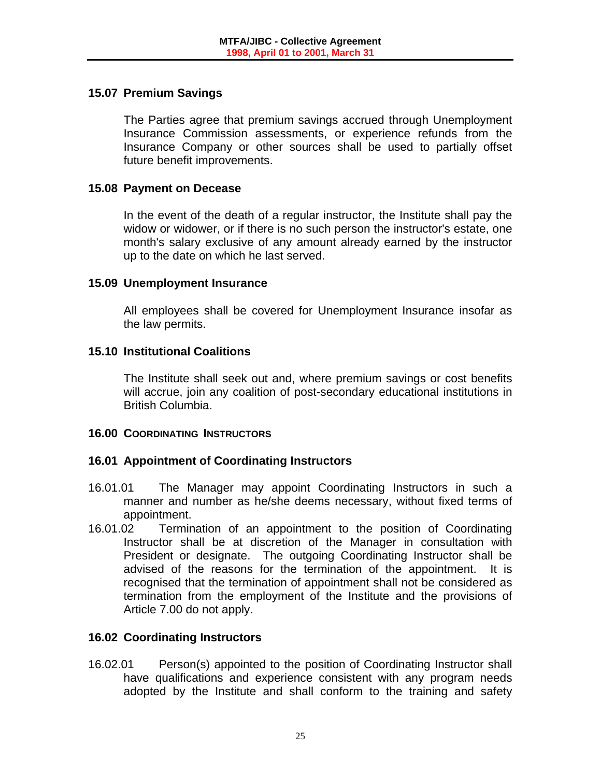# **15.07 Premium Savings**

 The Parties agree that premium savings accrued through Unemployment Insurance Commission assessments, or experience refunds from the Insurance Company or other sources shall be used to partially offset future benefit improvements.

#### **15.08 Payment on Decease**

 In the event of the death of a regular instructor, the Institute shall pay the widow or widower, or if there is no such person the instructor's estate, one month's salary exclusive of any amount already earned by the instructor up to the date on which he last served.

#### **15.09 Unemployment Insurance**

 All employees shall be covered for Unemployment Insurance insofar as the law permits.

#### **15.10 Institutional Coalitions**

 The Institute shall seek out and, where premium savings or cost benefits will accrue, join any coalition of post-secondary educational institutions in British Columbia.

#### **16.00 COORDINATING INSTRUCTORS**

# **16.01 Appointment of Coordinating Instructors**

- 16.01.01 The Manager may appoint Coordinating Instructors in such a manner and number as he/she deems necessary, without fixed terms of appointment.
- 16.01.02 Termination of an appointment to the position of Coordinating Instructor shall be at discretion of the Manager in consultation with President or designate. The outgoing Coordinating Instructor shall be advised of the reasons for the termination of the appointment. It is recognised that the termination of appointment shall not be considered as termination from the employment of the Institute and the provisions of Article 7.00 do not apply.

# **16.02 Coordinating Instructors**

16.02.01 Person(s) appointed to the position of Coordinating Instructor shall have qualifications and experience consistent with any program needs adopted by the Institute and shall conform to the training and safety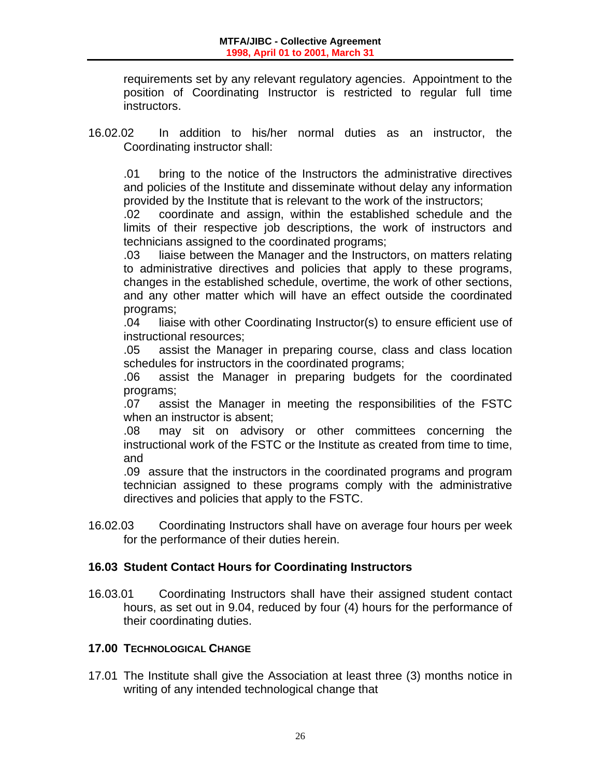requirements set by any relevant regulatory agencies. Appointment to the position of Coordinating Instructor is restricted to regular full time instructors.

16.02.02 In addition to his/her normal duties as an instructor, the Coordinating instructor shall:

.01 bring to the notice of the Instructors the administrative directives and policies of the Institute and disseminate without delay any information provided by the Institute that is relevant to the work of the instructors;

 .02 coordinate and assign, within the established schedule and the limits of their respective job descriptions, the work of instructors and technicians assigned to the coordinated programs;

 .03 liaise between the Manager and the Instructors, on matters relating to administrative directives and policies that apply to these programs, changes in the established schedule, overtime, the work of other sections, and any other matter which will have an effect outside the coordinated programs;

 .04 liaise with other Coordinating Instructor(s) to ensure efficient use of instructional resources;

 .05 assist the Manager in preparing course, class and class location schedules for instructors in the coordinated programs;

 .06 assist the Manager in preparing budgets for the coordinated programs;

 .07 assist the Manager in meeting the responsibilities of the FSTC when an instructor is absent;

 .08 may sit on advisory or other committees concerning the instructional work of the FSTC or the Institute as created from time to time, and

 .09 assure that the instructors in the coordinated programs and program technician assigned to these programs comply with the administrative directives and policies that apply to the FSTC.

16.02.03 Coordinating Instructors shall have on average four hours per week for the performance of their duties herein.

# **16.03 Student Contact Hours for Coordinating Instructors**

16.03.01 Coordinating Instructors shall have their assigned student contact hours, as set out in 9.04, reduced by four (4) hours for the performance of their coordinating duties.

# **17.00 TECHNOLOGICAL CHANGE**

17.01 The Institute shall give the Association at least three (3) months notice in writing of any intended technological change that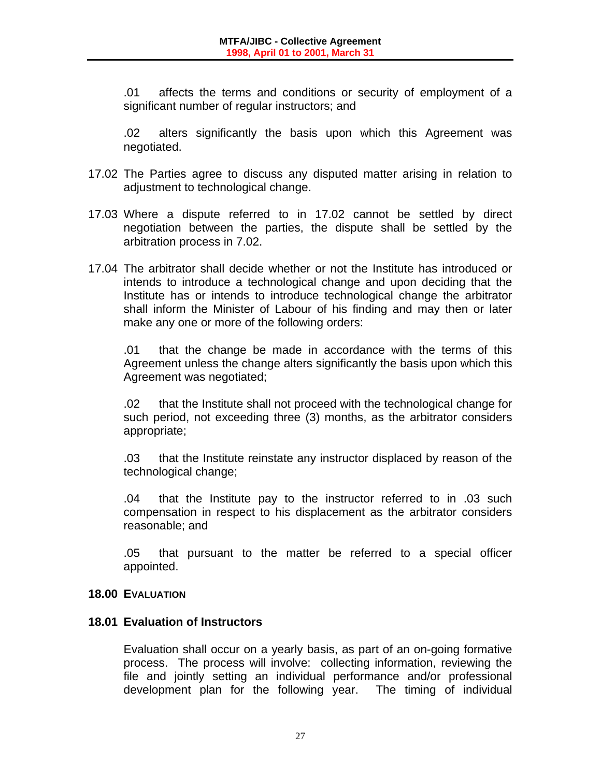.01 affects the terms and conditions or security of employment of a significant number of regular instructors; and

 .02 alters significantly the basis upon which this Agreement was negotiated.

- 17.02 The Parties agree to discuss any disputed matter arising in relation to adjustment to technological change.
- 17.03 Where a dispute referred to in 17.02 cannot be settled by direct negotiation between the parties, the dispute shall be settled by the arbitration process in 7.02.
- 17.04 The arbitrator shall decide whether or not the Institute has introduced or intends to introduce a technological change and upon deciding that the Institute has or intends to introduce technological change the arbitrator shall inform the Minister of Labour of his finding and may then or later make any one or more of the following orders:

 .01 that the change be made in accordance with the terms of this Agreement unless the change alters significantly the basis upon which this Agreement was negotiated;

 .02 that the Institute shall not proceed with the technological change for such period, not exceeding three (3) months, as the arbitrator considers appropriate;

 .03 that the Institute reinstate any instructor displaced by reason of the technological change;

 .04 that the Institute pay to the instructor referred to in .03 such compensation in respect to his displacement as the arbitrator considers reasonable; and

 .05 that pursuant to the matter be referred to a special officer appointed.

# **18.00 EVALUATION**

# **18.01 Evaluation of Instructors**

 Evaluation shall occur on a yearly basis, as part of an on-going formative process. The process will involve: collecting information, reviewing the file and jointly setting an individual performance and/or professional development plan for the following year. The timing of individual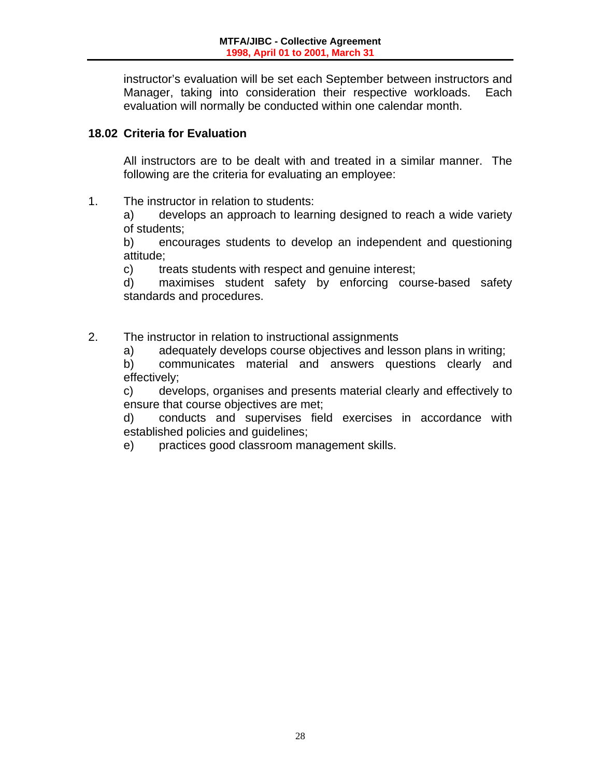instructor's evaluation will be set each September between instructors and Manager, taking into consideration their respective workloads. Each evaluation will normally be conducted within one calendar month.

# **18.02 Criteria for Evaluation**

All instructors are to be dealt with and treated in a similar manner. The following are the criteria for evaluating an employee:

1. The instructor in relation to students:

 a) develops an approach to learning designed to reach a wide variety of students;

 b) encourages students to develop an independent and questioning attitude;

c) treats students with respect and genuine interest;

 d) maximises student safety by enforcing course-based safety standards and procedures.

2. The instructor in relation to instructional assignments

a) adequately develops course objectives and lesson plans in writing;

 b) communicates material and answers questions clearly and effectively;

 c) develops, organises and presents material clearly and effectively to ensure that course objectives are met;

 d) conducts and supervises field exercises in accordance with established policies and guidelines;

e) practices good classroom management skills.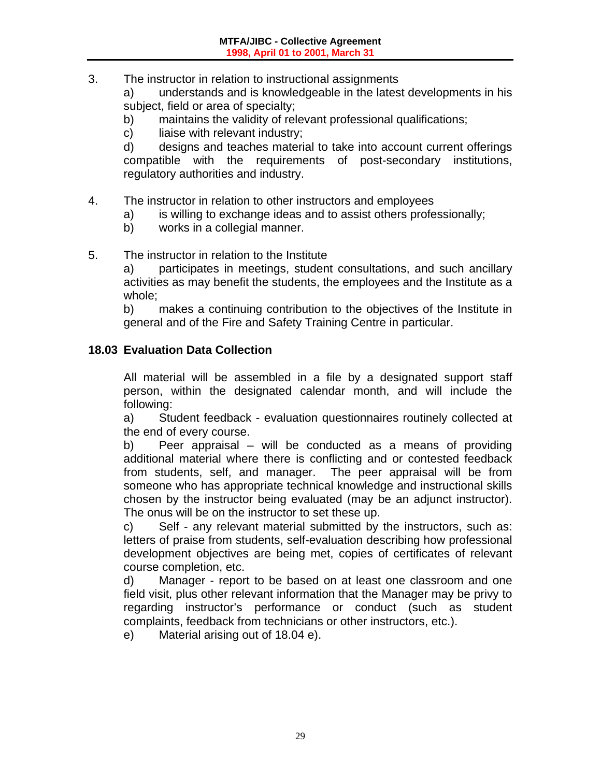3. The instructor in relation to instructional assignments

a) understands and is knowledgeable in the latest developments in his subject, field or area of specialty;

- b) maintains the validity of relevant professional qualifications;
- c) liaise with relevant industry;

 d) designs and teaches material to take into account current offerings compatible with the requirements of post-secondary institutions, regulatory authorities and industry.

#### 4. The instructor in relation to other instructors and employees

- a) is willing to exchange ideas and to assist others professionally;
- b) works in a collegial manner.

#### 5. The instructor in relation to the Institute

 a) participates in meetings, student consultations, and such ancillary activities as may benefit the students, the employees and the Institute as a whole;

 b) makes a continuing contribution to the objectives of the Institute in general and of the Fire and Safety Training Centre in particular.

#### **18.03 Evaluation Data Collection**

 All material will be assembled in a file by a designated support staff person, within the designated calendar month, and will include the following:

 a) Student feedback - evaluation questionnaires routinely collected at the end of every course.

b) Peer appraisal – will be conducted as a means of providing additional material where there is conflicting and or contested feedback from students, self, and manager. The peer appraisal will be from someone who has appropriate technical knowledge and instructional skills chosen by the instructor being evaluated (may be an adjunct instructor). The onus will be on the instructor to set these up.

c) Self - any relevant material submitted by the instructors, such as: letters of praise from students, self-evaluation describing how professional development objectives are being met, copies of certificates of relevant course completion, etc.

 d) Manager - report to be based on at least one classroom and one field visit, plus other relevant information that the Manager may be privy to regarding instructor's performance or conduct (such as student complaints, feedback from technicians or other instructors, etc.).

e) Material arising out of 18.04 e).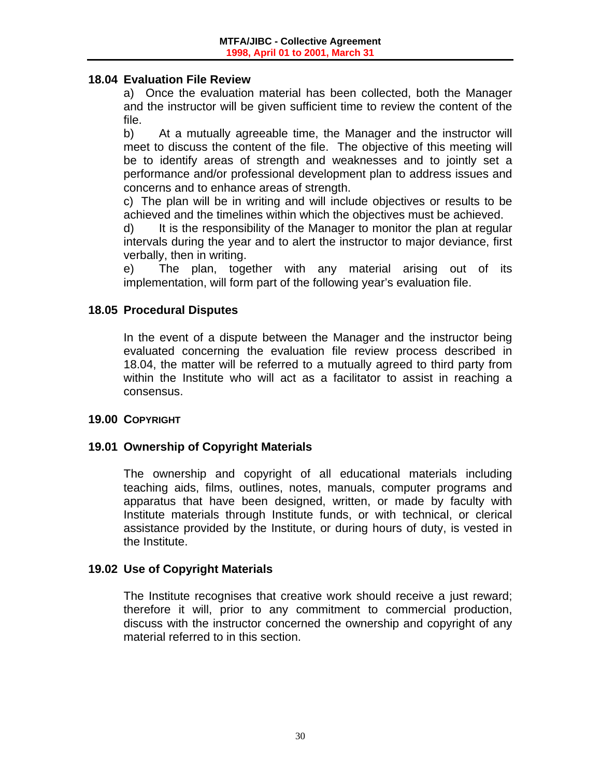#### **18.04 Evaluation File Review**

 a) Once the evaluation material has been collected, both the Manager and the instructor will be given sufficient time to review the content of the file.

 b) At a mutually agreeable time, the Manager and the instructor will meet to discuss the content of the file. The objective of this meeting will be to identify areas of strength and weaknesses and to jointly set a performance and/or professional development plan to address issues and concerns and to enhance areas of strength.

 c) The plan will be in writing and will include objectives or results to be achieved and the timelines within which the objectives must be achieved.

d) It is the responsibility of the Manager to monitor the plan at regular intervals during the year and to alert the instructor to major deviance, first verbally, then in writing.

 e) The plan, together with any material arising out of its implementation, will form part of the following year's evaluation file.

#### **18.05 Procedural Disputes**

 In the event of a dispute between the Manager and the instructor being evaluated concerning the evaluation file review process described in 18.04, the matter will be referred to a mutually agreed to third party from within the Institute who will act as a facilitator to assist in reaching a consensus.

#### **19.00 COPYRIGHT**

# **19.01 Ownership of Copyright Materials**

 The ownership and copyright of all educational materials including teaching aids, films, outlines, notes, manuals, computer programs and apparatus that have been designed, written, or made by faculty with Institute materials through Institute funds, or with technical, or clerical assistance provided by the Institute, or during hours of duty, is vested in the Institute.

#### **19.02 Use of Copyright Materials**

 The Institute recognises that creative work should receive a just reward; therefore it will, prior to any commitment to commercial production, discuss with the instructor concerned the ownership and copyright of any material referred to in this section.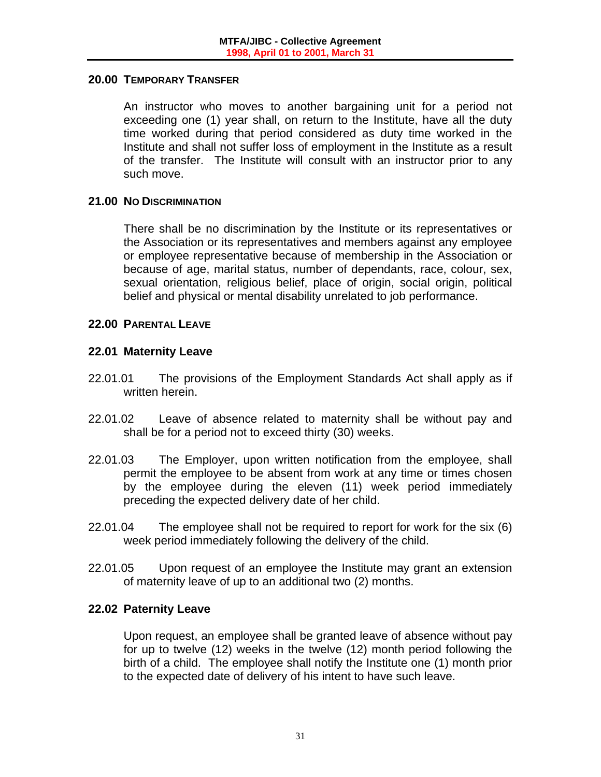#### **20.00 TEMPORARY TRANSFER**

 An instructor who moves to another bargaining unit for a period not exceeding one (1) year shall, on return to the Institute, have all the duty time worked during that period considered as duty time worked in the Institute and shall not suffer loss of employment in the Institute as a result of the transfer. The Institute will consult with an instructor prior to any such move.

#### **21.00 NO DISCRIMINATION**

 There shall be no discrimination by the Institute or its representatives or the Association or its representatives and members against any employee or employee representative because of membership in the Association or because of age, marital status, number of dependants, race, colour, sex, sexual orientation, religious belief, place of origin, social origin, political belief and physical or mental disability unrelated to job performance.

#### **22.00 PARENTAL LEAVE**

#### **22.01 Maternity Leave**

- 22.01.01 The provisions of the Employment Standards Act shall apply as if written herein.
- 22.01.02 Leave of absence related to maternity shall be without pay and shall be for a period not to exceed thirty (30) weeks.
- 22.01.03 The Employer, upon written notification from the employee, shall permit the employee to be absent from work at any time or times chosen by the employee during the eleven (11) week period immediately preceding the expected delivery date of her child.
- 22.01.04 The employee shall not be required to report for work for the six (6) week period immediately following the delivery of the child.
- 22.01.05 Upon request of an employee the Institute may grant an extension of maternity leave of up to an additional two (2) months.

#### **22.02 Paternity Leave**

 Upon request, an employee shall be granted leave of absence without pay for up to twelve (12) weeks in the twelve (12) month period following the birth of a child. The employee shall notify the Institute one (1) month prior to the expected date of delivery of his intent to have such leave.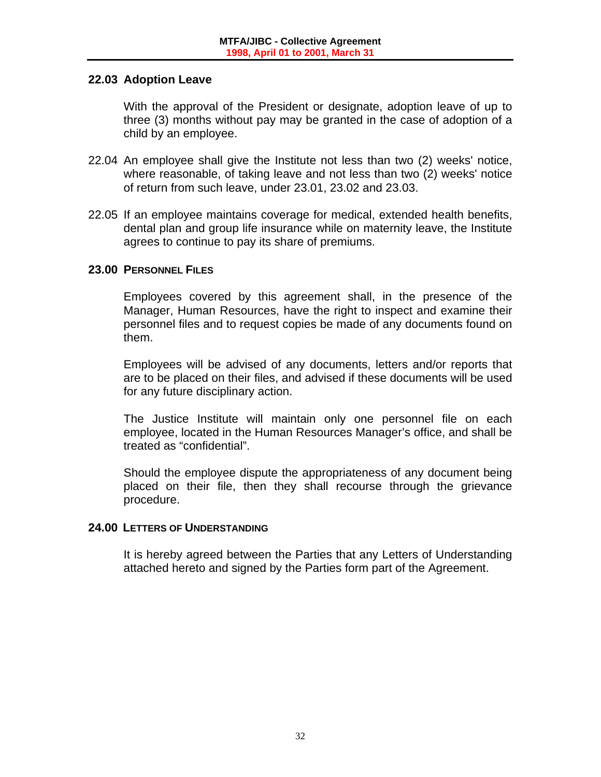#### **22.03 Adoption Leave**

 With the approval of the President or designate, adoption leave of up to three (3) months without pay may be granted in the case of adoption of a child by an employee.

- 22.04 An employee shall give the Institute not less than two (2) weeks' notice, where reasonable, of taking leave and not less than two (2) weeks' notice of return from such leave, under 23.01, 23.02 and 23.03.
- 22.05 If an employee maintains coverage for medical, extended health benefits, dental plan and group life insurance while on maternity leave, the Institute agrees to continue to pay its share of premiums.

# **23.00 PERSONNEL FILES**

 Employees covered by this agreement shall, in the presence of the Manager, Human Resources, have the right to inspect and examine their personnel files and to request copies be made of any documents found on them.

 Employees will be advised of any documents, letters and/or reports that are to be placed on their files, and advised if these documents will be used for any future disciplinary action.

 The Justice Institute will maintain only one personnel file on each employee, located in the Human Resources Manager's office, and shall be treated as "confidential".

 Should the employee dispute the appropriateness of any document being placed on their file, then they shall recourse through the grievance procedure.

#### **24.00 LETTERS OF UNDERSTANDING**

 It is hereby agreed between the Parties that any Letters of Understanding attached hereto and signed by the Parties form part of the Agreement.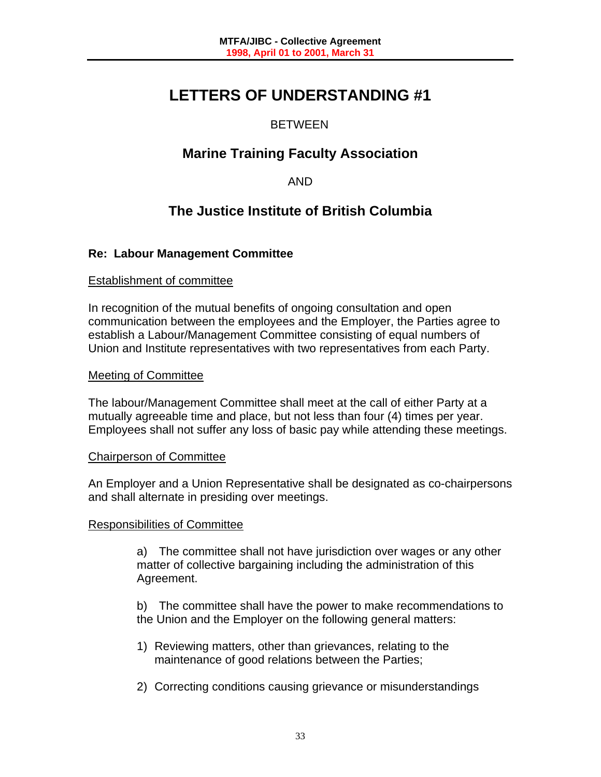# **LETTERS OF UNDERSTANDING #1**

# BETWEEN

# **Marine Training Faculty Association**

AND

# **The Justice Institute of British Columbia**

# **Re: Labour Management Committee**

#### Establishment of committee

In recognition of the mutual benefits of ongoing consultation and open communication between the employees and the Employer, the Parties agree to establish a Labour/Management Committee consisting of equal numbers of Union and Institute representatives with two representatives from each Party.

#### Meeting of Committee

The labour/Management Committee shall meet at the call of either Party at a mutually agreeable time and place, but not less than four (4) times per year. Employees shall not suffer any loss of basic pay while attending these meetings.

#### Chairperson of Committee

An Employer and a Union Representative shall be designated as co-chairpersons and shall alternate in presiding over meetings.

#### Responsibilities of Committee

 a) The committee shall not have jurisdiction over wages or any other matter of collective bargaining including the administration of this Agreement.

 b) The committee shall have the power to make recommendations to the Union and the Employer on the following general matters:

- 1) Reviewing matters, other than grievances, relating to the maintenance of good relations between the Parties;
- 2) Correcting conditions causing grievance or misunderstandings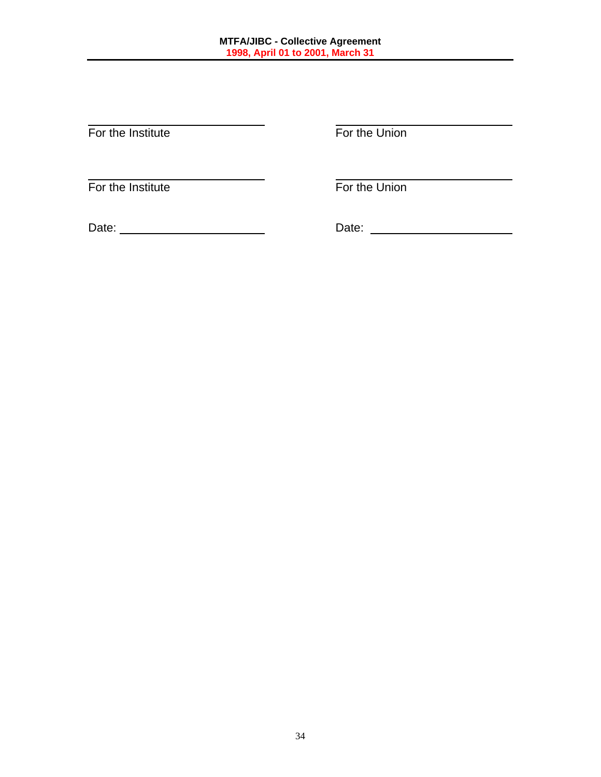$\overline{a}$ For the Institute **For the Union** 

 $\overline{a}$ For the Institute **For the Union** 

Date: Date: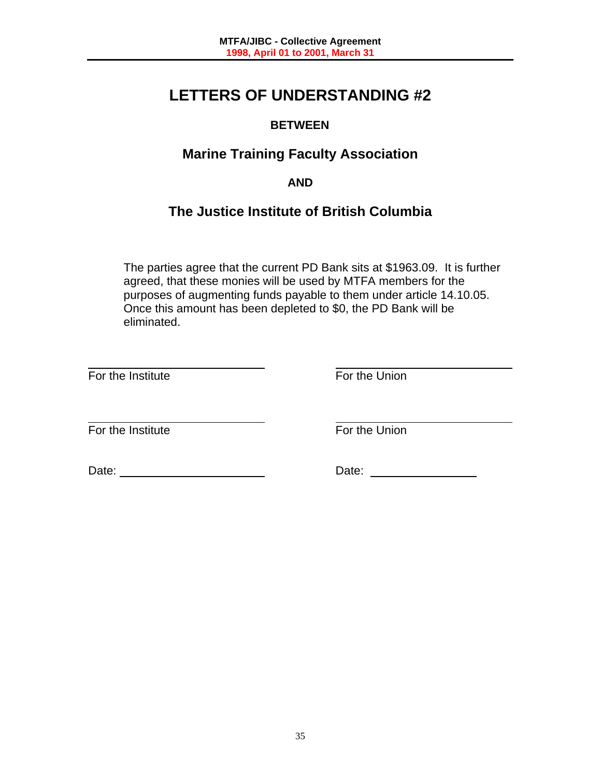# **LETTERS OF UNDERSTANDING #2**

# **BETWEEN**

# **Marine Training Faculty Association**

# **AND**

# **The Justice Institute of British Columbia**

The parties agree that the current PD Bank sits at \$1963.09. It is further agreed, that these monies will be used by MTFA members for the purposes of augmenting funds payable to them under article 14.10.05. Once this amount has been depleted to \$0, the PD Bank will be eliminated.

l For the Institute **For the Union** 

 $\overline{a}$ For the Institute **For the Union** 

Date: Date: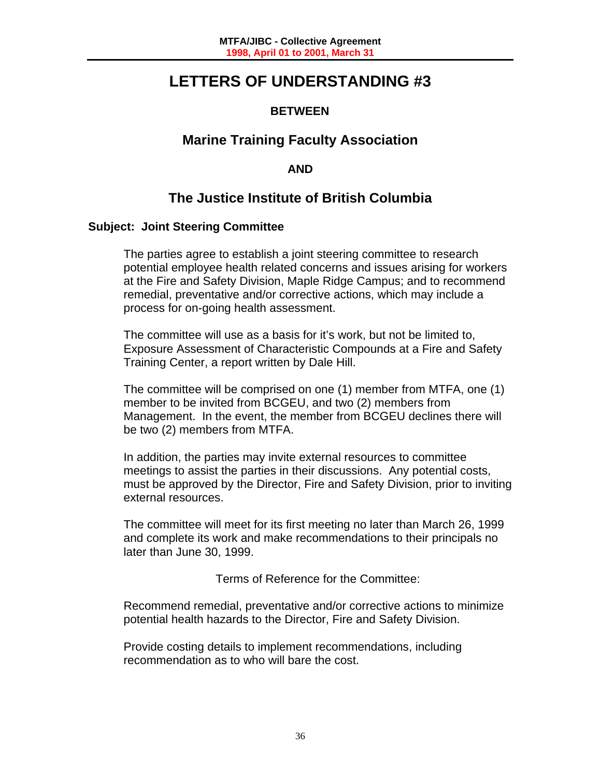# **LETTERS OF UNDERSTANDING #3**

# **BETWEEN**

# **Marine Training Faculty Association**

# **AND**

# **The Justice Institute of British Columbia**

# **Subject: Joint Steering Committee**

The parties agree to establish a joint steering committee to research potential employee health related concerns and issues arising for workers at the Fire and Safety Division, Maple Ridge Campus; and to recommend remedial, preventative and/or corrective actions, which may include a process for on-going health assessment.

The committee will use as a basis for it's work, but not be limited to, Exposure Assessment of Characteristic Compounds at a Fire and Safety Training Center, a report written by Dale Hill.

The committee will be comprised on one (1) member from MTFA, one (1) member to be invited from BCGEU, and two (2) members from Management. In the event, the member from BCGEU declines there will be two (2) members from MTFA.

In addition, the parties may invite external resources to committee meetings to assist the parties in their discussions. Any potential costs, must be approved by the Director, Fire and Safety Division, prior to inviting external resources.

The committee will meet for its first meeting no later than March 26, 1999 and complete its work and make recommendations to their principals no later than June 30, 1999.

Terms of Reference for the Committee:

Recommend remedial, preventative and/or corrective actions to minimize potential health hazards to the Director, Fire and Safety Division.

Provide costing details to implement recommendations, including recommendation as to who will bare the cost.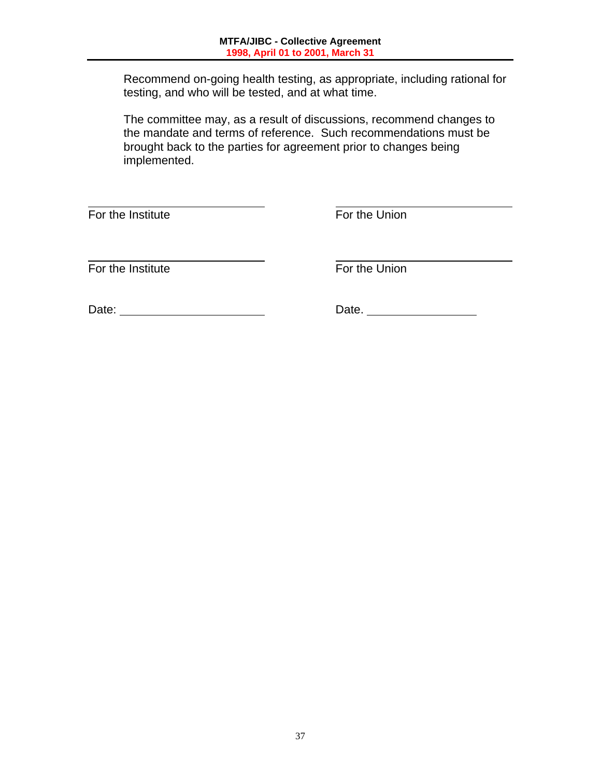Recommend on-going health testing, as appropriate, including rational for testing, and who will be tested, and at what time.

The committee may, as a result of discussions, recommend changes to the mandate and terms of reference. Such recommendations must be brought back to the parties for agreement prior to changes being implemented.

l For the Institute **For the Union** 

 $\overline{a}$ For the Institute **For the Union** 

Date: Date.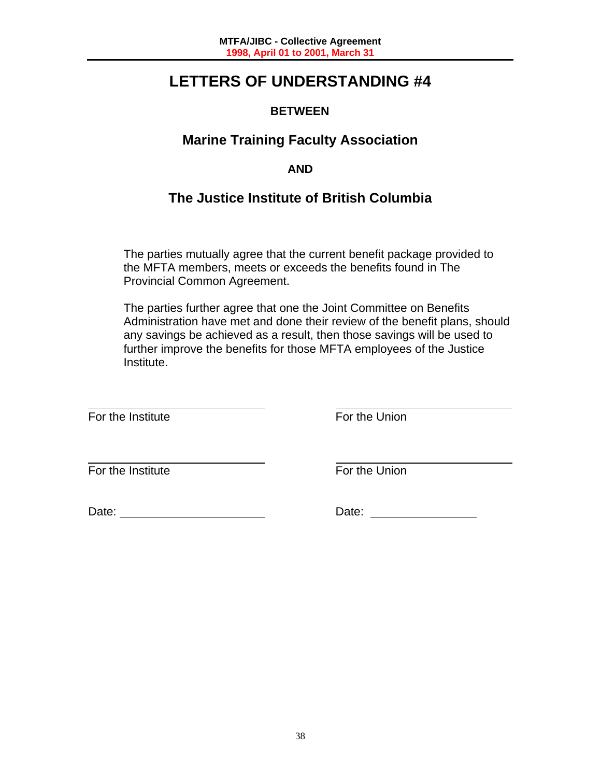# **LETTERS OF UNDERSTANDING #4**

# **BETWEEN**

# **Marine Training Faculty Association**

# **AND**

# **The Justice Institute of British Columbia**

The parties mutually agree that the current benefit package provided to the MFTA members, meets or exceeds the benefits found in The Provincial Common Agreement.

The parties further agree that one the Joint Committee on Benefits Administration have met and done their review of the benefit plans, should any savings be achieved as a result, then those savings will be used to further improve the benefits for those MFTA employees of the Justice Institute.

For the Institute **For the Union** 

l

 $\overline{a}$ For the Institute **For the Union** 

Date: Date: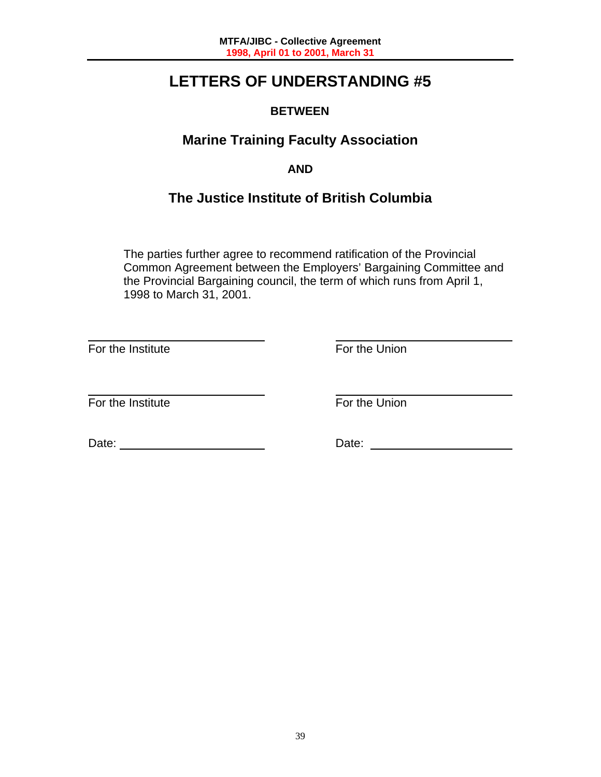# **LETTERS OF UNDERSTANDING #5**

# **BETWEEN**

# **Marine Training Faculty Association**

# **AND**

# **The Justice Institute of British Columbia**

The parties further agree to recommend ratification of the Provincial Common Agreement between the Employers' Bargaining Committee and the Provincial Bargaining council, the term of which runs from April 1, 1998 to March 31, 2001.

 $\overline{a}$ For the Institute **For the Union** 

 $\overline{a}$ For the Institute **For the Union** 

Date: <u>National Contract Contract Contract Contract Contract Contract Contract Contract Contract Contract Contract Contract Contract Contract Contract Contract Contract Contract Contract Contract Contract Contract Contract</u>